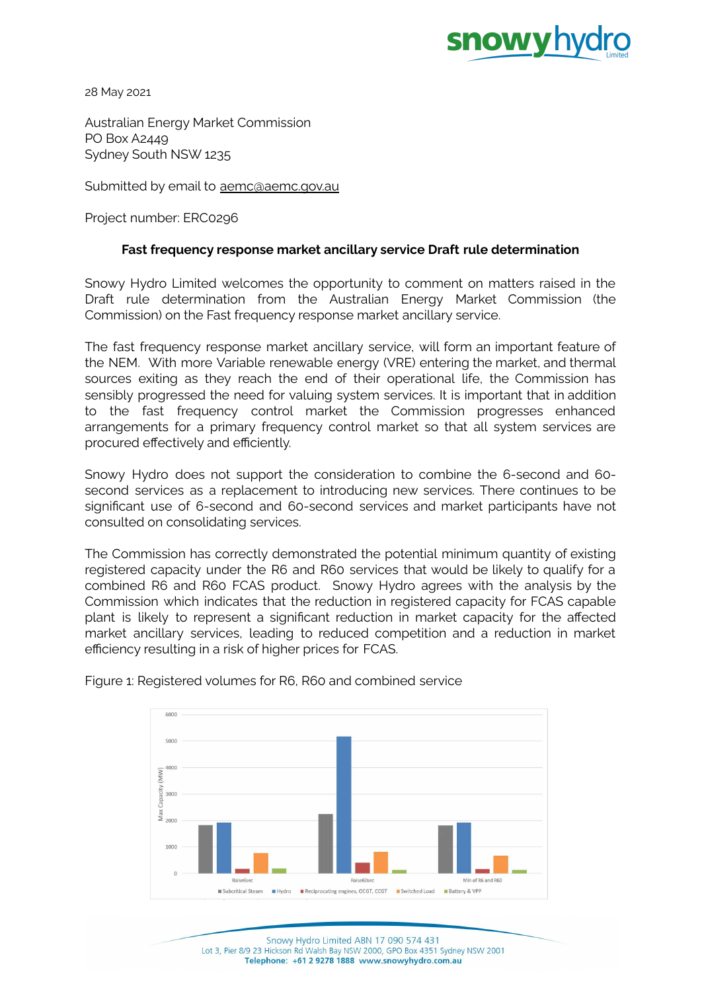

28 May 2021

Australian Energy Market Commission PO Box A2449 Sydney South NSW 1235

Submitted by email to [aemc@aemc.gov.au](mailto:aemc@aemc.gov.au)

Project number: ERC0296

## **Fast frequency response market ancillary service Draft rule determination**

Snowy Hydro Limited welcomes the opportunity to comment on matters raised in the Draft rule determination from the Australian Energy Market Commission (the Commission) on the Fast frequency response market ancillary service.

The fast frequency response market ancillary service, will form an important feature of the NEM. With more Variable renewable energy (VRE) entering the market, and thermal sources exiting as they reach the end of their operational life, the Commission has sensibly progressed the need for valuing system services. It is important that in addition to the fast frequency control market the Commission progresses enhanced arrangements for a primary frequency control market so that all system services are procured effectively and efficiently.

Snowy Hydro does not support the consideration to combine the 6-second and 60 second services as a replacement to introducing new services. There continues to be significant use of 6-second and 60-second services and market participants have not consulted on consolidating services.

The Commission has correctly demonstrated the potential minimum quantity of existing registered capacity under the R6 and R60 services that would be likely to qualify for a combined R6 and R60 FCAS product. Snowy Hydro agrees with the analysis by the Commission which indicates that the reduction in registered capacity for FCAS capable plant is likely to represent a significant reduction in market capacity for the affected market ancillary services, leading to reduced competition and a reduction in market efficiency resulting in a risk of higher prices for FCAS.



Figure 1: Registered volumes for R6, R60 and combined service

Snowy Hydro Limited ABN 17 090 574 431 Lot 3, Pier 8/9 23 Hickson Rd Walsh Bay NSW 2000, GPO Box 4351 Sydney NSW 2001 Telephone: +61 2 9278 1888 www.snowyhydro.com.au